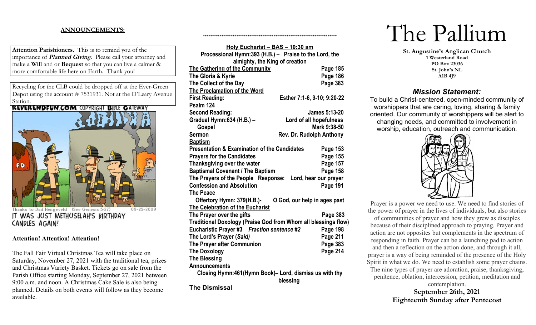# **ANNOUNCEMENTS:**

**Attention Parishioners.** This is to remind you of the importance of **Planned Giving**. Please call your attorney and make a **Will** and or **Bequest** so that you can live a calmer & more comfortable life here on Earth. Thank you!

Recycling for the CLB could be dropped off at the Ever-Green Depot using the account # 7531931. Not at the O'Leary Avenue Station.<br>REVERENDFUN.COM COPYRIGHT BIBLE GATEWAY



Thanks to Dad Hengeveld (See Genesis 5:27) IT WAS JUST METHUSELAH'S BIRTHDAY CANDLES AGAIN!

## **Attention! Attention! Attention!**

The Fall Fair Virtual Christmas Tea will take place on Saturday, November 27, 2021 with the traditional tea, prizes and Christmas Variety Basket. Tickets go on sale from the Parish Office starting Monday, September 27, 2021 between 9:00 a.m. and noon. A Christmas Cake Sale is also being planned. Details on both events will follow as they become available.

| Holy Eucharist - BAS - 10:30 am                                |                                 |  |  |  |
|----------------------------------------------------------------|---------------------------------|--|--|--|
| Processional Hymn:393 (H.B.) - Praise to the Lord, the         |                                 |  |  |  |
| almighty, the King of creation                                 |                                 |  |  |  |
| <b>The Gathering of the Community</b>                          | Page 185                        |  |  |  |
| The Gloria & Kyrie                                             | Page 186                        |  |  |  |
| The Collect of the Day                                         | Page 383                        |  |  |  |
| The Proclamation of the Word                                   |                                 |  |  |  |
| <b>First Reading:</b>                                          | Esther 7:1-6, 9-10; 9:20-22     |  |  |  |
| Psalm 124                                                      |                                 |  |  |  |
| <b>Second Reading:</b>                                         | <b>James 5:13-20</b>            |  |  |  |
| Gradual Hymn: 634 (H.B.) -                                     | Lord of all hopefulness         |  |  |  |
| Gospel                                                         | Mark 9:38-50                    |  |  |  |
| <b>Sermon</b>                                                  | <b>Rev. Dr. Rudolph Anthony</b> |  |  |  |
| <b>Baptism</b>                                                 |                                 |  |  |  |
| <b>Presentation &amp; Examination of the Candidates</b>        | Page 153                        |  |  |  |
| <b>Prayers for the Candidates</b>                              | Page 155                        |  |  |  |
| Thanksgiving over the water                                    | Page 157                        |  |  |  |
| <b>Baptismal Covenant / The Baptism</b>                        | Page 158                        |  |  |  |
| The Prayers of the People Response:                            | Lord, hear our prayer           |  |  |  |
| <b>Confession and Absolution</b>                               | Page 191                        |  |  |  |
| <b>The Peace</b>                                               |                                 |  |  |  |
| Offertory Hymn: 379(H.B.)-                                     | O God, our help in ages past    |  |  |  |
| The Celebration of the Eucharist                               |                                 |  |  |  |
| The Prayer over the gifts                                      | Page 383                        |  |  |  |
| Traditional Doxology (Praise God from Whom all blessings flow) |                                 |  |  |  |
| Eucharistic Prayer #3 Fraction sentence #2                     | Page 198                        |  |  |  |
| The Lord's Prayer (Said)                                       | Page 211                        |  |  |  |
| The Prayer after Communion                                     | Page 383                        |  |  |  |
| <b>The Doxology</b>                                            | Page 214                        |  |  |  |
| <b>The Blessing</b>                                            |                                 |  |  |  |
| <b>Announcements</b>                                           |                                 |  |  |  |
| Closing Hymn:461(Hymn Book)– Lord, dismiss us with thy         |                                 |  |  |  |
|                                                                | blessing                        |  |  |  |

++++++++++++++++++++++++++++++++++++++++++++++++++++++++++++++++++++++++

**The Dismissal**

# The Pallium

**St. Augustine's Anglican Church 1 Westerland Road PO Box 23036 St. John's NL A1B 4J9**

# *Mission Statement:*

To build a Christ-centered, open-minded community of worshippers that are caring, loving, sharing & family oriented. Our community of worshippers will be alert to changing needs, and committed to involvement in worship, education, outreach and communication.



Prayer is a power we need to use. We need to find stories of the power of prayer in the lives of individuals, but also stories of communities of prayer and how they grew as disciples because of their disciplined approach to praying. Prayer and action are not opposites but complements in the spectrum of responding in faith. Prayer can be a launching pad to action and then a reflection on the action done, and through it all, prayer is a way of being reminded of the presence of the Holy Spirit in what we do. We need to establish some prayer chains.

The nine types of prayer are adoration, praise, thanksgiving, penitence, oblation, intercession, petition, meditation and contemplation.

**September 26th, 2021 Eighteenth Sunday after Pentecost**